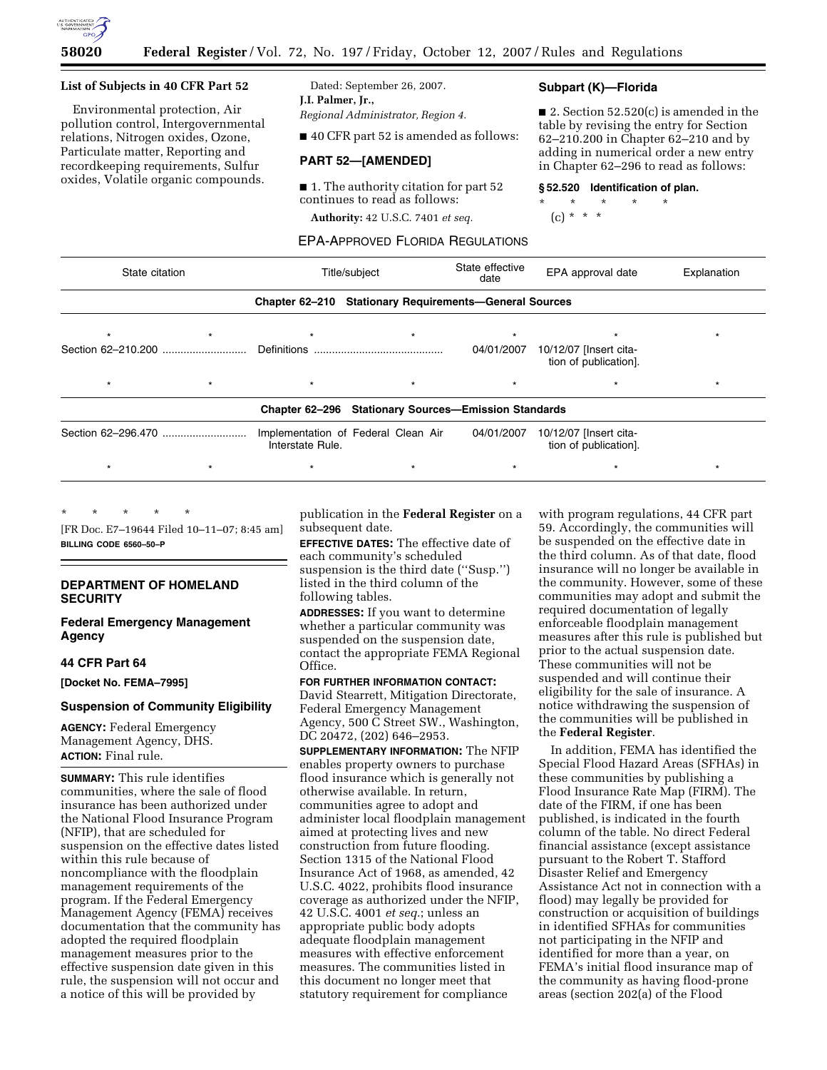

#### **List of Subjects in 40 CFR Part 52**

Environmental protection, Air pollution control, Intergovernmental relations, Nitrogen oxides, Ozone, Particulate matter, Reporting and recordkeeping requirements, Sulfur oxides, Volatile organic compounds.

Dated: September 26, 2007. **J.I. Palmer, Jr.,** 

*Regional Administrator, Region 4.* 

■ 40 CFR part 52 is amended as follows:

## **PART 52—[AMENDED]**

■ 1. The authority citation for part 52 continues to read as follows:

**Authority:** 42 U.S.C. 7401 *et seq.* 

EPA-APPROVED FLORIDA REGULATIONS

#### **Subpart (K)—Florida**

■ 2. Section 52.520(c) is amended in the table by revising the entry for Section 62–210.200 in Chapter 62–210 and by adding in numerical order a new entry in Chapter 62–296 to read as follows:

#### **§ 52.520 Identification of plan.**

\* \* \* \* \*

(c) \* \* \*

| State citation |  | Title/subject    |                                                             | State effective<br>date | EPA approval date                               | Explanation |
|----------------|--|------------------|-------------------------------------------------------------|-------------------------|-------------------------------------------------|-------------|
|                |  |                  | Chapter 62-210 Stationary Requirements-General Sources      |                         |                                                 |             |
|                |  |                  |                                                             |                         |                                                 |             |
|                |  |                  |                                                             | 04/01/2007              | 10/12/07 [Insert cita-<br>tion of publication]. |             |
| $\star$        |  |                  |                                                             |                         |                                                 |             |
|                |  |                  | <b>Chapter 62-296 Stationary Sources-Emission Standards</b> |                         |                                                 |             |
|                |  | Interstate Rule. | Implementation of Federal Clean Air                         | 04/01/2007              | 10/12/07 [Insert cita-<br>tion of publication]. |             |
| $\star$        |  |                  | $\star$                                                     |                         |                                                 |             |

\* \* \* \* \*

[FR Doc. E7–19644 Filed 10–11–07; 8:45 am] **BILLING CODE 6560–50–P** 

# **DEPARTMENT OF HOMELAND SECURITY**

**Federal Emergency Management Agency** 

# **44 CFR Part 64**

**[Docket No. FEMA–7995]** 

#### **Suspension of Community Eligibility**

**AGENCY:** Federal Emergency Management Agency, DHS. **ACTION:** Final rule.

**SUMMARY:** This rule identifies communities, where the sale of flood insurance has been authorized under the National Flood Insurance Program (NFIP), that are scheduled for suspension on the effective dates listed within this rule because of noncompliance with the floodplain management requirements of the program. If the Federal Emergency Management Agency (FEMA) receives documentation that the community has adopted the required floodplain management measures prior to the effective suspension date given in this rule, the suspension will not occur and a notice of this will be provided by

publication in the **Federal Register** on a subsequent date.

**EFFECTIVE DATES:** The effective date of each community's scheduled suspension is the third date (''Susp.'') listed in the third column of the following tables.

**ADDRESSES:** If you want to determine whether a particular community was suspended on the suspension date, contact the appropriate FEMA Regional Office.

**FOR FURTHER INFORMATION CONTACT:**  David Stearrett, Mitigation Directorate, Federal Emergency Management Agency, 500 C Street SW., Washington,

DC 20472, (202) 646–2953. **SUPPLEMENTARY INFORMATION:** The NFIP

enables property owners to purchase flood insurance which is generally not otherwise available. In return, communities agree to adopt and administer local floodplain management aimed at protecting lives and new construction from future flooding. Section 1315 of the National Flood Insurance Act of 1968, as amended, 42 U.S.C. 4022, prohibits flood insurance coverage as authorized under the NFIP, 42 U.S.C. 4001 *et seq.*; unless an appropriate public body adopts adequate floodplain management measures with effective enforcement measures. The communities listed in this document no longer meet that statutory requirement for compliance

with program regulations, 44 CFR part 59. Accordingly, the communities will be suspended on the effective date in the third column. As of that date, flood insurance will no longer be available in the community. However, some of these communities may adopt and submit the required documentation of legally enforceable floodplain management measures after this rule is published but prior to the actual suspension date. These communities will not be suspended and will continue their eligibility for the sale of insurance. A notice withdrawing the suspension of the communities will be published in the **Federal Register**.

In addition, FEMA has identified the Special Flood Hazard Areas (SFHAs) in these communities by publishing a Flood Insurance Rate Map (FIRM). The date of the FIRM, if one has been published, is indicated in the fourth column of the table. No direct Federal financial assistance (except assistance pursuant to the Robert T. Stafford Disaster Relief and Emergency Assistance Act not in connection with a flood) may legally be provided for construction or acquisition of buildings in identified SFHAs for communities not participating in the NFIP and identified for more than a year, on FEMA's initial flood insurance map of the community as having flood-prone areas (section 202(a) of the Flood